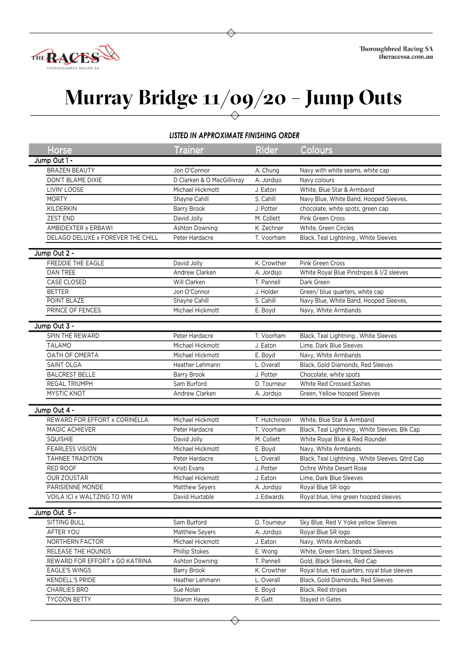

## **Murray Bridge 11/09/20 – Jump Outs**

## *LISTED IN APPROXIMATE FINISHING ORDER*

| <b>Horse</b>                      | <b>Trainer</b>                   | <b>Rider</b>  | Colours                                        |
|-----------------------------------|----------------------------------|---------------|------------------------------------------------|
| Jump Out 1 -                      |                                  |               |                                                |
| <b>BRAZEN BEAUTY</b>              | Jon O'Connor                     | A. Chung      | Navy with white seams, white cap               |
| DON'T BLAME DIXIE                 | D Clarken & O MacGillivray       | A. Jordsjo    | Navy colours                                   |
| LIVIN' LOOSE                      | Michael Hickmott                 | J. Eaton      | White, Blue Star & Armband                     |
| <b>MORTY</b>                      | Shayne Cahill                    | S. Cahill     | Navy Blue, White Band, Hooped Sleeves,         |
| <b>KILDERKIN</b>                  | <b>Barry Brook</b>               | J. Potter     | chocolate, white spots, green cap              |
| <b>ZEST END</b>                   | David Jolly                      | M. Collett    | <b>Pink Green Cross</b>                        |
| AMBIDEXTER x ERBAWI               | Ashton Downing                   | K. Zechner    | White, Green Circles                           |
| DELAGO DELUXE x FOREVER THE CHILL | Peter Hardacre                   | T. Voorham    | Black, Teal Lightning, White Sleeves           |
| Jump Out 2 -                      |                                  |               |                                                |
| FREDDIE THE EAGLE                 | David Jolly                      | K. Crowther   | Pink Green Cross                               |
| DAN TREE                          | Andrew Clarken                   | A. Jordsjo    | White Royal Blue Pinstripes & 1/2 sleeves      |
| CASE CLOSED                       | Will Clarken                     | T. Pannell    | Dark Green                                     |
| <b>BETTER</b>                     | Jon O'Connor                     | J. Holder     | Green/ blue quarters, white cap                |
| POINT BLAZE                       | Shayne Cahill                    | S. Cahill     | Navy Blue, White Band, Hooped Sleeves,         |
| PRINCE OF FENCES                  | Michael Hickmott                 | E. Boyd       | Navy, White Armbands                           |
|                                   |                                  |               |                                                |
| Jump Out 3 -                      |                                  |               |                                                |
| SPIN THE REWARD                   | Peter Hardacre                   | T. Voorham    | Black, Teal Lightning, White Sleeves           |
| <b>TALAMO</b>                     | Michael Hickmott                 | J. Eaton      | Lime, Dark Blue Sleeves                        |
| OATH OF OMERTA                    | Michael Hickmott                 | E. Boyd       | Navy, White Armbands                           |
| SAINT OLGA                        | Heather Lehmann                  | L. Overall    | Black, Gold Diamonds, Red Sleeves              |
| <b>BALCREST BELLE</b>             | Barry Brook                      | J. Potter     | Chocolate, white spots                         |
| <b>REGAL TRIUMPH</b>              | Sam Burford                      | D. Tourneur   | White Red Crossed Sashes                       |
| MYSTIC KNOT                       | Andrew Clarken                   | A. Jordsjo    | Green, Yellow hooped Sleeves                   |
| Jump Out 4 -                      |                                  |               |                                                |
| REWARD FOR EFFORT x CORINELLA     | Michael Hickmott                 | T. Hutchinson | White, Blue Star & Armband                     |
| MAGIC ACHIEVER                    | Peter Hardacre                   | T. Voorham    | Black, Teal Lightning, White Sleeves, Blk Cap  |
| <b>SQUISHIE</b>                   | David Jolly                      | M. Collett    | White Royal Blue & Red Roundel                 |
| <b>FEARLESS VISION</b>            | Michael Hickmott                 | E. Boyd       | Navy, White Armbands                           |
| <b>TAHNEE TRADITION</b>           | Peter Hardacre                   | L. Overall    | Black, Teal Lightning, White Sleeves, Qtrd Cap |
| RED ROOF                          | Kristi Evans                     | J. Potter     | Ochre White Desert Rose                        |
| <b>OUR ZOUSTAR</b>                | Michael Hickmott                 | J. Eaton      | Lime, Dark Blue Sleeves                        |
| PARISIENNE MONDE                  |                                  |               | Royal Blue SR logo                             |
|                                   | Matthew Seyers<br>David Huxtable | A. Jordsjo    | Royal blue, lime green hooped sleeves          |
| VOILA ICI x WALTZING TO WIN       |                                  | J. Edwards    |                                                |
| Jump Out 5 -                      |                                  |               |                                                |
| SITTING BULL                      | Sam Burford                      | D. Tourneur   | Sky Blue, Red V Yoke yellow Sleeves            |
| AFTER YOU                         | Matthew Seyers                   | A. Jordsjo    | Royal Blue SR logo                             |
| NORTHERN FACTOR                   | Michael Hickmott                 | J. Eaton      | Navy, White Armbands                           |
| RELEASE THE HOUNDS                | Phillip Stokes                   | E. Wong       | White, Green Stars, Striped Sleeves            |
| REWARD FOR EFFORT x GO KATRINA    | Ashton Downing                   | T. Pannell    | Gold, Black Sleeves, Red Cap                   |
| <b>EAGLE'S WINGS</b>              | Barry Brook                      | K. Crowther   | Royal blue, red quarters, royal blue sleeves   |
| KENDELL'S PRIDE                   | Heather Lehmann                  | L. Overall    | Black, Gold Diamonds, Red Sleeves              |
| CHARLIES BRO                      | Sue Nolan                        | E. Boyd       | Black, Red stripes                             |
| TYCOON BETTY                      | Sharon Hayes                     | P. Gatt       | Stayed in Gates                                |